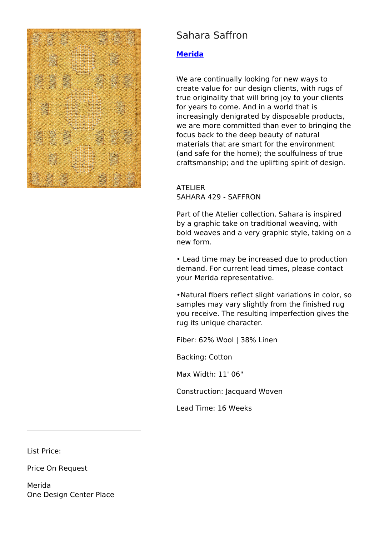

## Sahara Saffron

## **[Merida](https://designtrade.net/store/merida/)**

We are continually looking for new ways to create value for our design clients, with rugs of true originality that will bring joy to your clients for years to come. And in a world that is increasingly denigrated by disposable products, we are more committed than ever to bringing the focus back to the deep beauty of natural materials that are smart for the environment (and safe for the home); the soulfulness of true craftsmanship; and the uplifting spirit of design.

## ATELIER SAHARA 429 - SAFFRON

Part of the Atelier collection, Sahara is inspired by a graphic take on traditional weaving, with bold weaves and a very graphic style, taking on a new form.

• Lead time may be increased due to production demand. For current lead times, please contact your Merida representative.

•Natural fibers reflect slight variations in color, so samples may vary slightly from the finished rug you receive. The resulting imperfection gives the rug its unique character.

Fiber: 62% Wool | 38% Linen

Backing: Cotton

Max Width: 11' 06"

Construction: Jacquard Woven

Lead Time: 16 Weeks

List Price:

Price On Request

Merida One Design Center Place